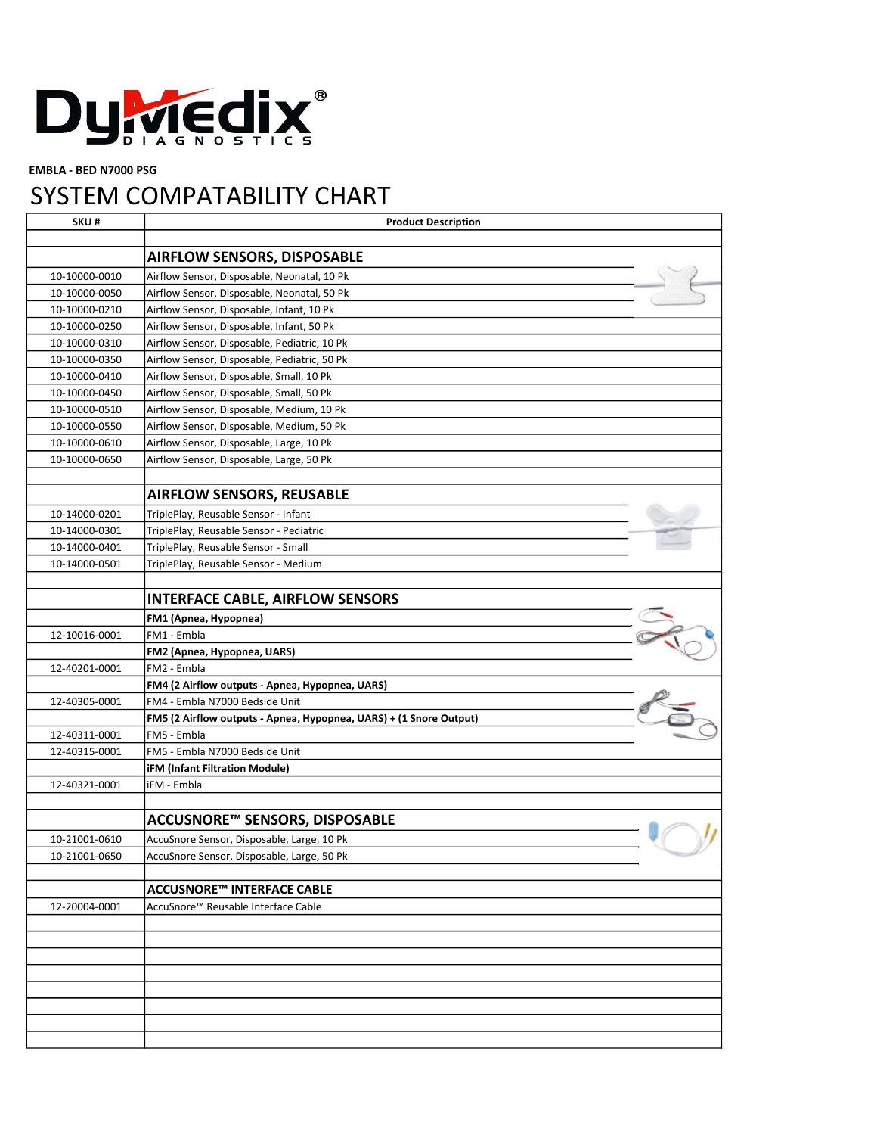

EMBLA - BED N7000 PSG

## SYSTEM COMPATABILITY CHART

| SKU#          | <b>Product Description</b>                                                        |  |
|---------------|-----------------------------------------------------------------------------------|--|
|               |                                                                                   |  |
|               | <b>AIRFLOW SENSORS, DISPOSABLE</b>                                                |  |
| 10-10000-0010 | Airflow Sensor, Disposable, Neonatal, 10 Pk                                       |  |
| 10-10000-0050 | Airflow Sensor, Disposable, Neonatal, 50 Pk                                       |  |
| 10-10000-0210 | Airflow Sensor, Disposable, Infant, 10 Pk                                         |  |
| 10-10000-0250 | Airflow Sensor, Disposable, Infant, 50 Pk                                         |  |
| 10-10000-0310 | Airflow Sensor, Disposable, Pediatric, 10 Pk                                      |  |
| 10-10000-0350 | Airflow Sensor, Disposable, Pediatric, 50 Pk                                      |  |
| 10-10000-0410 | Airflow Sensor, Disposable, Small, 10 Pk                                          |  |
| 10-10000-0450 | Airflow Sensor, Disposable, Small, 50 Pk                                          |  |
| 10-10000-0510 | Airflow Sensor, Disposable, Medium, 10 Pk                                         |  |
| 10-10000-0550 | Airflow Sensor, Disposable, Medium, 50 Pk                                         |  |
| 10-10000-0610 | Airflow Sensor, Disposable, Large, 10 Pk                                          |  |
| 10-10000-0650 | Airflow Sensor, Disposable, Large, 50 Pk                                          |  |
|               |                                                                                   |  |
|               | <b>AIRFLOW SENSORS, REUSABLE</b>                                                  |  |
| 10-14000-0201 | TriplePlay, Reusable Sensor - Infant                                              |  |
| 10-14000-0301 | TriplePlay, Reusable Sensor - Pediatric                                           |  |
| 10-14000-0401 | TriplePlay, Reusable Sensor - Small                                               |  |
| 10-14000-0501 | TriplePlay, Reusable Sensor - Medium                                              |  |
|               |                                                                                   |  |
|               | <b>INTERFACE CABLE, AIRFLOW SENSORS</b>                                           |  |
|               | FM1 (Apnea, Hypopnea)                                                             |  |
| 12-10016-0001 | FM1 - Embla                                                                       |  |
|               | FM2 (Apnea, Hypopnea, UARS)                                                       |  |
| 12-40201-0001 | FM2 - Embla                                                                       |  |
|               |                                                                                   |  |
| 12-40305-0001 | FM4 (2 Airflow outputs - Apnea, Hypopnea, UARS)<br>FM4 - Embla N7000 Bedside Unit |  |
|               |                                                                                   |  |
| 12-40311-0001 | FM5 (2 Airflow outputs - Apnea, Hypopnea, UARS) + (1 Snore Output)<br>FM5 - Embla |  |
|               |                                                                                   |  |
| 12-40315-0001 | FM5 - Embla N7000 Bedside Unit<br><b>iFM (Infant Filtration Module)</b>           |  |
|               | iFM - Embla                                                                       |  |
| 12-40321-0001 |                                                                                   |  |
|               | ACCUSNORE™ SENSORS, DISPOSABLE                                                    |  |
|               |                                                                                   |  |
| 10-21001-0610 | AccuSnore Sensor, Disposable, Large, 10 Pk                                        |  |
| 10-21001-0650 | AccuSnore Sensor, Disposable, Large, 50 Pk                                        |  |
|               | <b>ACCUSNORE™ INTERFACE CABLE</b>                                                 |  |
| 12-20004-0001 |                                                                                   |  |
|               | AccuSnore™ Reusable Interface Cable                                               |  |
|               |                                                                                   |  |
|               |                                                                                   |  |
|               |                                                                                   |  |
|               |                                                                                   |  |
|               |                                                                                   |  |
|               |                                                                                   |  |
|               |                                                                                   |  |
|               |                                                                                   |  |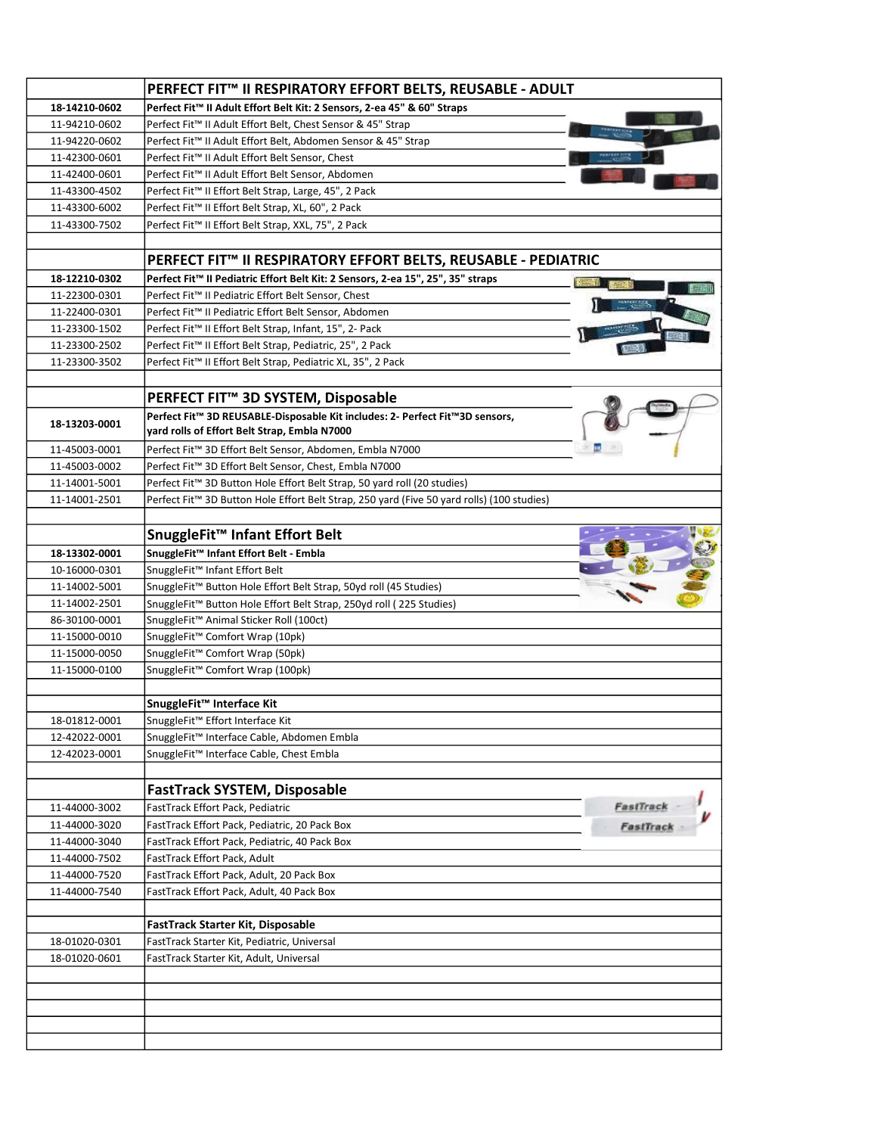|               | PERFECT FIT™ II RESPIRATORY EFFORT BELTS, REUSABLE - ADULT                                 |                        |
|---------------|--------------------------------------------------------------------------------------------|------------------------|
| 18-14210-0602 | Perfect Fit™ II Adult Effort Belt Kit: 2 Sensors, 2-ea 45" & 60" Straps                    |                        |
| 11-94210-0602 | Perfect Fit™ II Adult Effort Belt, Chest Sensor & 45" Strap                                |                        |
| 11-94220-0602 | Perfect Fit™ II Adult Effort Belt, Abdomen Sensor & 45" Strap                              |                        |
| 11-42300-0601 | Perfect Fit™ II Adult Effort Belt Sensor, Chest                                            |                        |
| 11-42400-0601 | Perfect Fit™ II Adult Effort Belt Sensor, Abdomen                                          |                        |
| 11-43300-4502 | Perfect Fit™ II Effort Belt Strap, Large, 45", 2 Pack                                      |                        |
| 11-43300-6002 | Perfect Fit™ II Effort Belt Strap, XL, 60", 2 Pack                                         |                        |
| 11-43300-7502 | Perfect Fit™ II Effort Belt Strap, XXL, 75", 2 Pack                                        |                        |
|               |                                                                                            |                        |
|               | PERFECT FIT™ II RESPIRATORY EFFORT BELTS, REUSABLE - PEDIATRIC                             |                        |
| 18-12210-0302 | Perfect Fit™ II Pediatric Effort Belt Kit: 2 Sensors, 2-ea 15", 25", 35" straps            |                        |
| 11-22300-0301 | Perfect Fit™ II Pediatric Effort Belt Sensor, Chest                                        |                        |
| 11-22400-0301 | Perfect Fit™ II Pediatric Effort Belt Sensor, Abdomen                                      |                        |
| 11-23300-1502 | Perfect Fit™ II Effort Belt Strap, Infant, 15", 2- Pack                                    |                        |
| 11-23300-2502 | Perfect Fit <sup>™</sup> II Effort Belt Strap, Pediatric, 25", 2 Pack                      |                        |
| 11-23300-3502 | Perfect Fit™ II Effort Belt Strap, Pediatric XL, 35", 2 Pack                               |                        |
|               |                                                                                            |                        |
|               | PERFECT FIT <sup>™</sup> 3D SYSTEM, Disposable                                             |                        |
|               |                                                                                            |                        |
| 18 13203 0001 | Perfect Fit™ 3D REUSABLE-Disposable Kit includes: 2- Perfect Fit™3D sensors,               |                        |
|               | yard rolls of Effort Belt Strap, Embla N7000                                               |                        |
| 11-45003-0001 | Perfect Fit™ 3D Effort Belt Sensor, Abdomen, Embla N7000                                   |                        |
| 11-45003-0002 | Perfect Fit™ 3D Effort Belt Sensor, Chest, Embla N7000                                     |                        |
| 11-14001-5001 | Perfect Fit™ 3D Button Hole Effort Belt Strap, 50 yard roll (20 studies)                   |                        |
| 11-14001-2501 | Perfect Fit™ 3D Button Hole Effort Belt Strap, 250 yard (Five 50 yard rolls) (100 studies) |                        |
|               |                                                                                            |                        |
|               | SnuggleFit™ Infant Effort Belt                                                             |                        |
| 18-13302-0001 | SnuggleFit™ Infant Effort Belt - Embla                                                     |                        |
| 10-16000-0301 | SnuggleFit™ Infant Effort Belt                                                             |                        |
| 11-14002-5001 | SnuggleFit™ Button Hole Effort Belt Strap, 50yd roll (45 Studies)                          |                        |
| 11-14002-2501 | SnuggleFit <sup>™</sup> Button Hole Effort Belt Strap, 250yd roll (225 Studies)            |                        |
| 86-30100-0001 | SnuggleFit <sup>™</sup> Animal Sticker Roll (100ct)                                        |                        |
| 11-15000-0010 | SnuggleFit™ Comfort Wrap (10pk)                                                            |                        |
| 11-15000-0050 | SnuggleFit <sup>™</sup> Comfort Wrap (50pk)                                                |                        |
| 11-15000-0100 | SnuggleFit <sup>™</sup> Comfort Wrap (100pk)                                               |                        |
|               |                                                                                            |                        |
|               | SnuggleFit™ Interface Kit                                                                  |                        |
| 18-01812-0001 | SnuggleFit™ Effort Interface Kit                                                           |                        |
| 12-42022-0001 | SnuggleFit™ Interface Cable, Abdomen Embla                                                 |                        |
| 12-42023-0001 | SnuggleFit™ Interface Cable, Chest Embla                                                   |                        |
|               |                                                                                            |                        |
|               | <b>FastTrack SYSTEM, Disposable</b>                                                        |                        |
| 11-44000-3002 | FastTrack Effort Pack, Pediatric                                                           | FastTrack<br>FastTrack |
| 11-44000-3020 | FastTrack Effort Pack, Pediatric, 20 Pack Box                                              |                        |
| 11-44000-3040 | FastTrack Effort Pack, Pediatric, 40 Pack Box                                              |                        |
| 11-44000-7502 | FastTrack Effort Pack, Adult                                                               |                        |
| 11-44000-7520 | FastTrack Effort Pack, Adult, 20 Pack Box                                                  |                        |
| 11-44000-7540 | FastTrack Effort Pack, Adult, 40 Pack Box                                                  |                        |
|               |                                                                                            |                        |
|               | FastTrack Starter Kit, Disposable                                                          |                        |
| 18-01020-0301 | FastTrack Starter Kit, Pediatric, Universal                                                |                        |
| 18-01020-0601 | FastTrack Starter Kit, Adult, Universal                                                    |                        |
|               |                                                                                            |                        |
|               |                                                                                            |                        |
|               |                                                                                            |                        |
|               |                                                                                            |                        |
|               |                                                                                            |                        |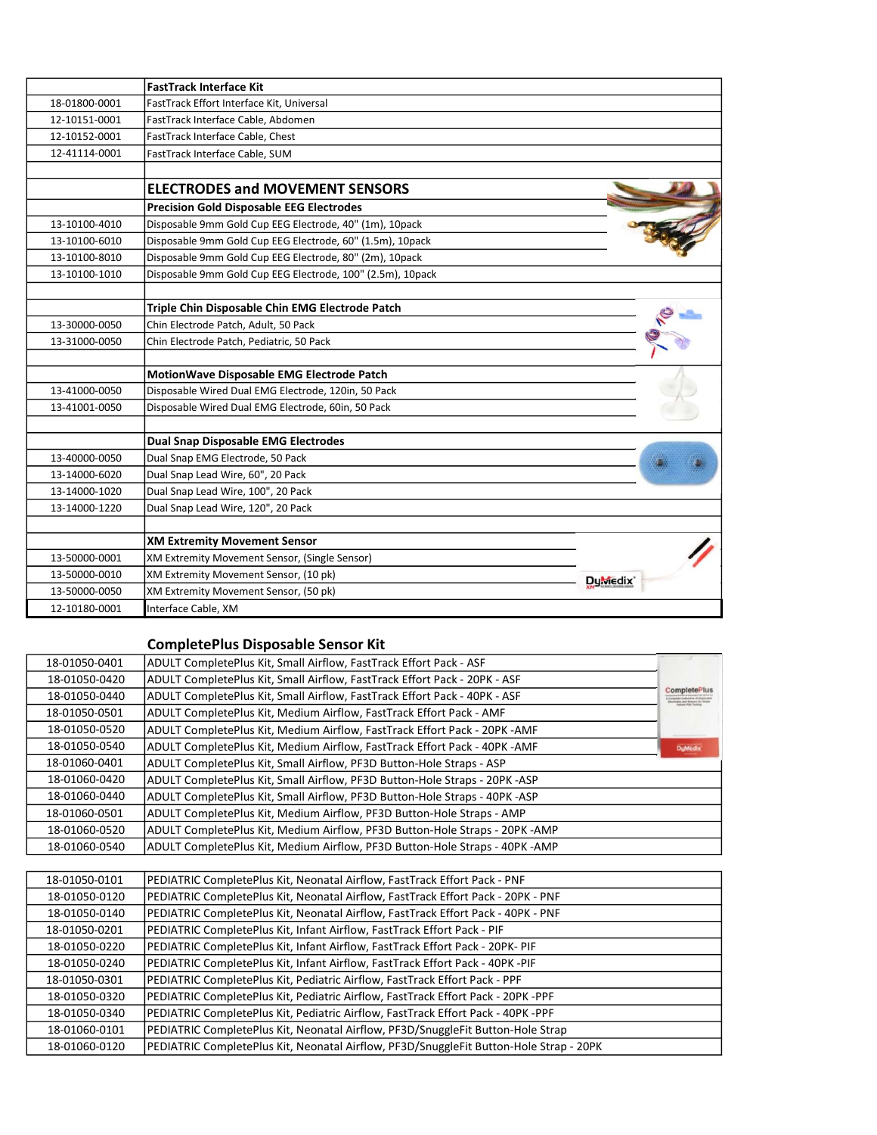|               | <b>FastTrack Interface Kit</b>                             |                 |
|---------------|------------------------------------------------------------|-----------------|
| 18-01800-0001 | FastTrack Effort Interface Kit, Universal                  |                 |
| 12-10151-0001 | FastTrack Interface Cable, Abdomen                         |                 |
| 12-10152-0001 | FastTrack Interface Cable, Chest                           |                 |
| 12-41114-0001 | FastTrack Interface Cable, SUM                             |                 |
|               |                                                            |                 |
|               | <b>ELECTRODES and MOVEMENT SENSORS</b>                     |                 |
|               | <b>Precision Gold Disposable EEG Electrodes</b>            |                 |
| 13-10100-4010 | Disposable 9mm Gold Cup EEG Electrode, 40" (1m), 10pack    |                 |
| 13-10100-6010 | Disposable 9mm Gold Cup EEG Electrode, 60" (1.5m), 10pack  |                 |
| 13-10100-8010 | Disposable 9mm Gold Cup EEG Electrode, 80" (2m), 10pack    |                 |
| 13-10100-1010 | Disposable 9mm Gold Cup EEG Electrode, 100" (2.5m), 10pack |                 |
|               |                                                            |                 |
|               | Triple Chin Disposable Chin EMG Electrode Patch            |                 |
| 13-30000-0050 | Chin Electrode Patch, Adult, 50 Pack                       |                 |
| 13-31000-0050 | Chin Electrode Patch, Pediatric, 50 Pack                   |                 |
|               |                                                            |                 |
|               | MotionWave Disposable EMG Electrode Patch                  |                 |
| 13-41000-0050 | Disposable Wired Dual EMG Electrode, 120in, 50 Pack        |                 |
| 13-41001-0050 | Disposable Wired Dual EMG Electrode, 60in, 50 Pack         |                 |
|               |                                                            |                 |
|               | <b>Dual Snap Disposable EMG Electrodes</b>                 |                 |
| 13-40000-0050 | Dual Snap EMG Electrode, 50 Pack                           |                 |
| 13-14000-6020 | Dual Snap Lead Wire, 60", 20 Pack                          |                 |
| 13-14000-1020 | Dual Snap Lead Wire, 100", 20 Pack                         |                 |
| 13-14000-1220 | Dual Snap Lead Wire, 120", 20 Pack                         |                 |
|               |                                                            |                 |
|               | <b>XM Extremity Movement Sensor</b>                        |                 |
| 13-50000-0001 | XM Extremity Movement Sensor, (Single Sensor)              |                 |
| 13-50000-0010 | XM Extremity Movement Sensor, (10 pk)                      | <b>Du</b> medix |
| 13-50000-0050 | XM Extremity Movement Sensor, (50 pk)                      |                 |
| 12-10180-0001 | Interface Cable, XM                                        |                 |

## CompletePlus Disposable Sensor Kit

|                | ADULT CompletePlus Kit, Small Airflow, FastTrack Effort Pack - ASF          | 18-01050-0401 |
|----------------|-----------------------------------------------------------------------------|---------------|
|                | ADULT CompletePlus Kit, Small Airflow, FastTrack Effort Pack - 20PK - ASF   | 18-01050-0420 |
| CompletePlus   | ADULT CompletePlus Kit, Small Airflow, FastTrack Effort Pack - 40PK - ASF   | 18-01050-0440 |
|                | ADULT CompletePlus Kit, Medium Airflow, FastTrack Effort Pack - AMF         | 18-01050-0501 |
|                | ADULT CompletePlus Kit, Medium Airflow, FastTrack Effort Pack - 20PK - AMF  | 18-01050-0520 |
| <b>DyMedix</b> | ADULT CompletePlus Kit, Medium Airflow, FastTrack Effort Pack - 40PK - AMF  | 18-01050-0540 |
|                | ADULT CompletePlus Kit, Small Airflow, PF3D Button-Hole Straps - ASP        | 18-01060-0401 |
|                | ADULT CompletePlus Kit, Small Airflow, PF3D Button-Hole Straps - 20PK -ASP  | 18-01060-0420 |
|                | ADULT CompletePlus Kit, Small Airflow, PF3D Button-Hole Straps - 40PK -ASP  | 18-01060-0440 |
|                | ADULT CompletePlus Kit, Medium Airflow, PF3D Button-Hole Straps - AMP       | 18-01060-0501 |
|                | ADULT CompletePlus Kit, Medium Airflow, PF3D Button-Hole Straps - 20PK -AMP | 18-01060-0520 |
|                | ADULT CompletePlus Kit, Medium Airflow, PF3D Button-Hole Straps - 40PK -AMP | 18-01060-0540 |
|                |                                                                             |               |

| 18-01050-0101 | PEDIATRIC CompletePlus Kit, Neonatal Airflow, FastTrack Effort Pack - PNF              |
|---------------|----------------------------------------------------------------------------------------|
| 18-01050-0120 | PEDIATRIC CompletePlus Kit, Neonatal Airflow, FastTrack Effort Pack - 20PK - PNF       |
| 18-01050-0140 | PEDIATRIC CompletePlus Kit, Neonatal Airflow, FastTrack Effort Pack - 40PK - PNF       |
| 18-01050-0201 | PEDIATRIC CompletePlus Kit, Infant Airflow, FastTrack Effort Pack - PIF                |
| 18-01050-0220 | PEDIATRIC CompletePlus Kit, Infant Airflow, FastTrack Effort Pack - 20PK- PIF          |
| 18-01050-0240 | PEDIATRIC CompletePlus Kit, Infant Airflow, FastTrack Effort Pack - 40PK -PIF          |
| 18-01050-0301 | PEDIATRIC CompletePlus Kit, Pediatric Airflow, FastTrack Effort Pack - PPF             |
| 18-01050-0320 | PEDIATRIC CompletePlus Kit, Pediatric Airflow, FastTrack Effort Pack - 20PK -PPF       |
| 18-01050-0340 | PEDIATRIC CompletePlus Kit, Pediatric Airflow, FastTrack Effort Pack - 40PK -PPF       |
| 18-01060-0101 | PEDIATRIC CompletePlus Kit, Neonatal Airflow, PF3D/SnuggleFit Button-Hole Strap        |
| 18-01060-0120 | PEDIATRIC CompletePlus Kit, Neonatal Airflow, PF3D/SnuggleFit Button-Hole Strap - 20PK |
|               |                                                                                        |